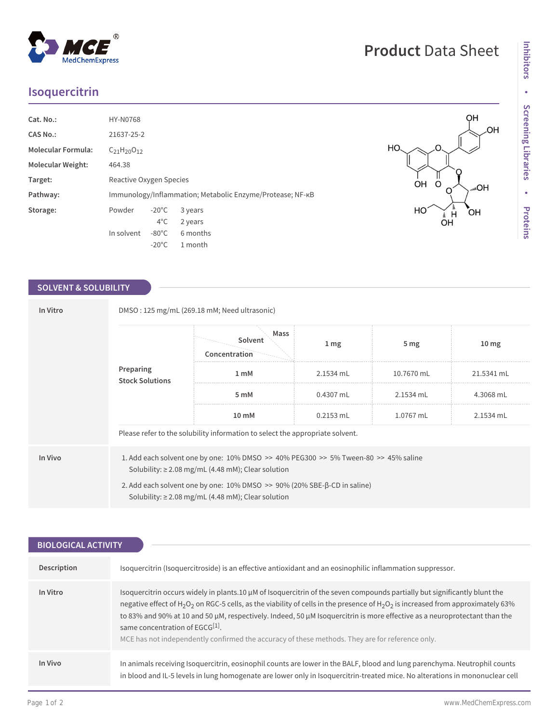## **Isoquercitrin**

| Cat. No.:                | <b>HY-N0768</b>                                           |                 |          |
|--------------------------|-----------------------------------------------------------|-----------------|----------|
| <b>CAS No.:</b>          | 21637-25-2                                                |                 |          |
| Molecular Formula:       | $C_{21}H_{20}O_{12}$                                      |                 |          |
| <b>Molecular Weight:</b> | 464.38                                                    |                 |          |
| Target:                  | Reactive Oxygen Species                                   |                 |          |
| Pathway:                 | Immunology/Inflammation; Metabolic Enzyme/Protease; NF-KB |                 |          |
| Storage:                 | Powder                                                    | $-20^{\circ}$ C | 3 years  |
|                          |                                                           | $4^{\circ}$ C   | 2 years  |
|                          | In solvent                                                | $-80^{\circ}$ C | 6 months |
|                          |                                                           | $-20^{\circ}$ C | 1 month  |

## **SOLVENT & SOLUBILITY**

| In Vitro | DMSO: 125 mg/mL (269.18 mM; Need ultrasonic)                                                                                                                  |                                  |                 |                 |                  |  |  |
|----------|---------------------------------------------------------------------------------------------------------------------------------------------------------------|----------------------------------|-----------------|-----------------|------------------|--|--|
|          | Preparing<br><b>Stock Solutions</b>                                                                                                                           | Mass<br>Solvent<br>Concentration | 1 <sub>mg</sub> | 5 <sub>mg</sub> | 10 <sub>mg</sub> |  |  |
|          |                                                                                                                                                               | 1 <sub>m</sub> M                 | 2.1534 mL       | 10.7670 mL      | 21.5341 mL       |  |  |
|          |                                                                                                                                                               | 5 mM                             | 0.4307 mL       | 2.1534 mL       | 4.3068 mL        |  |  |
|          |                                                                                                                                                               | 10 mM                            | $0.2153$ mL     | 1.0767 mL       | 2.1534 mL        |  |  |
|          | Please refer to the solubility information to select the appropriate solvent.                                                                                 |                                  |                 |                 |                  |  |  |
| In Vivo  | 1. Add each solvent one by one: $10\%$ DMSO $\geq$ 40% PEG300 $\geq$ 5% Tween-80 $\geq$ 45% saline<br>Solubility: $\geq$ 2.08 mg/mL (4.48 mM); Clear solution |                                  |                 |                 |                  |  |  |
|          | 2. Add each solvent one by one: 10% DMSO >> 90% (20% SBE-β-CD in saline)<br>Solubility: $\geq$ 2.08 mg/mL (4.48 mM); Clear solution                           |                                  |                 |                 |                  |  |  |

| <b>BIOLOGICAL ACTIVITY</b> |                                                                                                                                                                                                                                                                                                                                                                                                                                                                                                                                                                                             |  |  |  |
|----------------------------|---------------------------------------------------------------------------------------------------------------------------------------------------------------------------------------------------------------------------------------------------------------------------------------------------------------------------------------------------------------------------------------------------------------------------------------------------------------------------------------------------------------------------------------------------------------------------------------------|--|--|--|
|                            |                                                                                                                                                                                                                                                                                                                                                                                                                                                                                                                                                                                             |  |  |  |
| Description                | Isoquercitrin (Isoquercitroside) is an effective antioxidant and an eosinophilic inflammation suppressor.                                                                                                                                                                                                                                                                                                                                                                                                                                                                                   |  |  |  |
| In Vitro                   | Isoquercitrin occurs widely in plants.10 µM of Isoquercitrin of the seven compounds partially but significantly blunt the<br>negative effect of H <sub>2</sub> O <sub>2</sub> on RGC-5 cells, as the viability of cells in the presence of H <sub>2</sub> O <sub>2</sub> is increased from approximately 63%<br>to 83% and 90% at 10 and 50 μM, respectively. Indeed, 50 μM Isoquercitrin is more effective as a neuroprotectant than the<br>same concentration of EGCG <sup>[1]</sup> .<br>MCE has not independently confirmed the accuracy of these methods. They are for reference only. |  |  |  |
| In Vivo                    | In animals receiving Isoquercitrin, eosinophil counts are lower in the BALF, blood and lung parenchyma. Neutrophil counts<br>in blood and IL-5 levels in lung homogenate are lower only in Isoquercitrin-treated mice. No alterations in mononuclear cell                                                                                                                                                                                                                                                                                                                                   |  |  |  |

C

 $\Omega$ 

 $M_{\text{H}}$ 

OH O

HO

HO.

QH

HO<sub>"</sub>

 $\overline{O}$ H

,OH